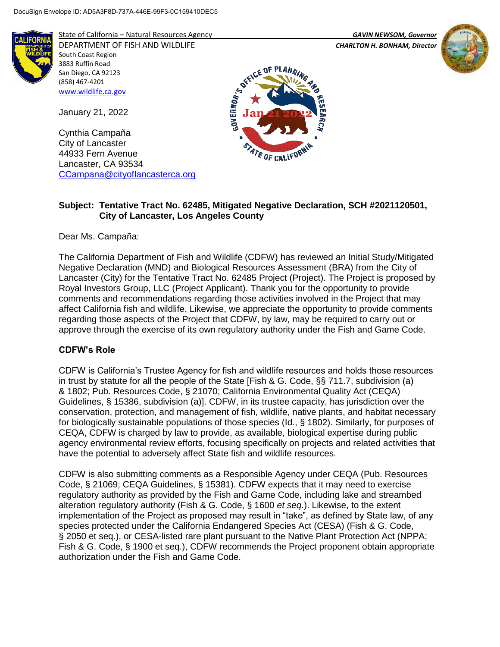South Coast Region 3883 Ruffin Road San Diego, CA 92123 (858) 467-4201 [www.wildlife.ca.gov](http://www.wildlife.ca.gov/)

January 21, 2022

Cynthia Campaña City of Lancaster 44933 Fern Avenue Lancaster, CA 93534



State of California – Natural Resources Agency *GAVIN NEWSOM, Governor*

[CCampana@cityoflancasterca.org](mailto:CCampana@cityoflancasterca.org)

DEPARTMENT OF FISH AND WILDLIFE *CHARLTON H. BONHAM, Director* 





## **Subject: Tentative Tract No. 62485, Mitigated Negative Declaration, SCH #2021120501, City of Lancaster, Los Angeles County**

Dear Ms. Campaña:

The California Department of Fish and Wildlife (CDFW) has reviewed an Initial Study/Mitigated Negative Declaration (MND) and Biological Resources Assessment (BRA) from the City of Lancaster (City) for the Tentative Tract No. 62485 Project (Project). The Project is proposed by Royal Investors Group, LLC (Project Applicant). Thank you for the opportunity to provide comments and recommendations regarding those activities involved in the Project that may affect California fish and wildlife. Likewise, we appreciate the opportunity to provide comments regarding those aspects of the Project that CDFW, by law, may be required to carry out or approve through the exercise of its own regulatory authority under the Fish and Game Code.

## **CDFW's Role**

CDFW is California's Trustee Agency for fish and wildlife resources and holds those resources in trust by statute for all the people of the State [Fish & G. Code, §§ 711.7, subdivision (a) & 1802; Pub. Resources Code, § 21070; California Environmental Quality Act (CEQA) Guidelines, § 15386, subdivision (a)]. CDFW, in its trustee capacity, has jurisdiction over the conservation, protection, and management of fish, wildlife, native plants, and habitat necessary for biologically sustainable populations of those species (Id., § 1802). Similarly, for purposes of CEQA, CDFW is charged by law to provide, as available, biological expertise during public agency environmental review efforts, focusing specifically on projects and related activities that have the potential to adversely affect State fish and wildlife resources.

CDFW is also submitting comments as a Responsible Agency under CEQA (Pub. Resources Code, § 21069; CEQA Guidelines, § 15381). CDFW expects that it may need to exercise regulatory authority as provided by the Fish and Game Code, including lake and streambed alteration regulatory authority (Fish & G. Code, § 1600 *et seq*.). Likewise, to the extent implementation of the Project as proposed may result in "take", as defined by State law, of any species protected under the California Endangered Species Act (CESA) (Fish & G. Code, § 2050 et seq.), or CESA-listed rare plant pursuant to the Native Plant Protection Act (NPPA; Fish & G. Code, § 1900 et seq.), CDFW recommends the Project proponent obtain appropriate authorization under the Fish and Game Code.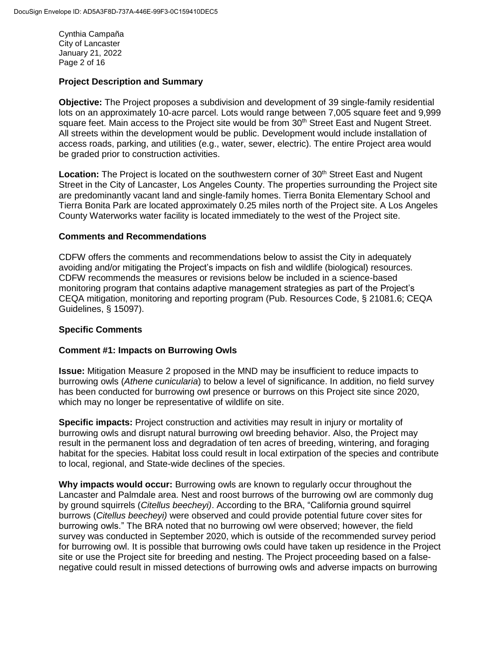Cynthia Campaña City of Lancaster January 21, 2022 Page 2 of 16

#### **Project Description and Summary**

**Objective:** The Project proposes a subdivision and development of 39 single-family residential lots on an approximately 10-acre parcel. Lots would range between 7,005 square feet and 9,999 square feet. Main access to the Project site would be from 30<sup>th</sup> Street East and Nugent Street. All streets within the development would be public. Development would include installation of access roads, parking, and utilities (e.g., water, sewer, electric). The entire Project area would be graded prior to construction activities.

**Location:** The Project is located on the southwestern corner of 30<sup>th</sup> Street East and Nugent Street in the City of Lancaster, Los Angeles County. The properties surrounding the Project site are predominantly vacant land and single-family homes. Tierra Bonita Elementary School and Tierra Bonita Park are located approximately 0.25 miles north of the Project site. A Los Angeles County Waterworks water facility is located immediately to the west of the Project site.

#### **Comments and Recommendations**

CDFW offers the comments and recommendations below to assist the City in adequately avoiding and/or mitigating the Project's impacts on fish and wildlife (biological) resources. CDFW recommends the measures or revisions below be included in a science-based monitoring program that contains adaptive management strategies as part of the Project's CEQA mitigation, monitoring and reporting program (Pub. Resources Code, § 21081.6; CEQA Guidelines, § 15097).

## **Specific Comments**

#### **Comment #1: Impacts on Burrowing Owls**

**Issue:** Mitigation Measure 2 proposed in the MND may be insufficient to reduce impacts to burrowing owls (*Athene cunicularia*) to below a level of significance. In addition, no field survey has been conducted for burrowing owl presence or burrows on this Project site since 2020, which may no longer be representative of wildlife on site.

**Specific impacts:** Project construction and activities may result in injury or mortality of burrowing owls and disrupt natural burrowing owl breeding behavior. Also, the Project may result in the permanent loss and degradation of ten acres of breeding, wintering, and foraging habitat for the species. Habitat loss could result in local extirpation of the species and contribute to local, regional, and State-wide declines of the species.

**Why impacts would occur:** Burrowing owls are known to regularly occur throughout the Lancaster and Palmdale area. Nest and roost burrows of the burrowing owl are commonly dug by ground squirrels (*Citellus beecheyi)*. According to the BRA, "California ground squirrel burrows (*Citellus beecheyi)* were observed and could provide potential future cover sites for burrowing owls." The BRA noted that no burrowing owl were observed; however, the field survey was conducted in September 2020, which is outside of the recommended survey period for burrowing owl. It is possible that burrowing owls could have taken up residence in the Project site or use the Project site for breeding and nesting. The Project proceeding based on a falsenegative could result in missed detections of burrowing owls and adverse impacts on burrowing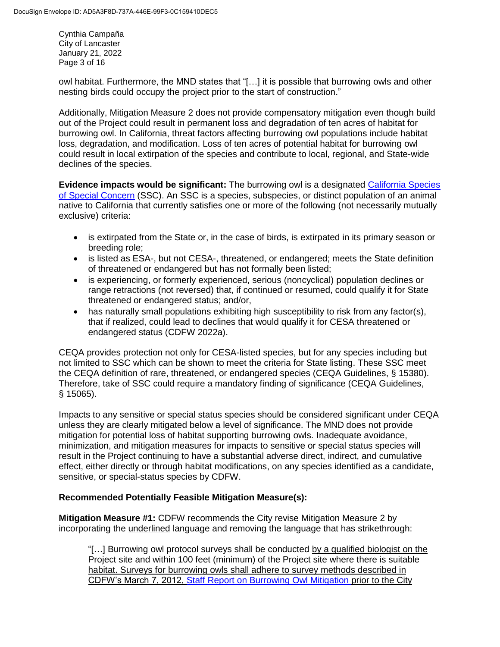Cynthia Campaña City of Lancaster January 21, 2022 Page 3 of 16

owl habitat. Furthermore, the MND states that "[…] it is possible that burrowing owls and other nesting birds could occupy the project prior to the start of construction."

Additionally, Mitigation Measure 2 does not provide compensatory mitigation even though build out of the Project could result in permanent loss and degradation of ten acres of habitat for burrowing owl. In California, threat factors affecting burrowing owl populations include habitat loss, degradation, and modification. Loss of ten acres of potential habitat for burrowing owl could result in local extirpation of the species and contribute to local, regional, and State-wide declines of the species.

**Evidence impacts would be significant:** The burrowing owl is a designated [California Species](https://wildlife.ca.gov/Conservation/SSC)  [of Special Concern](https://wildlife.ca.gov/Conservation/SSC) (SSC). An SSC is a species, subspecies, or distinct population of an animal native to California that currently satisfies one or more of the following (not necessarily mutually exclusive) criteria:

- is extirpated from the State or, in the case of birds, is extirpated in its primary season or breeding role;
- is listed as ESA-, but not CESA-, threatened, or endangered; meets the State definition of threatened or endangered but has not formally been listed;
- is experiencing, or formerly experienced, serious (noncyclical) population declines or range retractions (not reversed) that, if continued or resumed, could qualify it for State threatened or endangered status; and/or,
- has naturally small populations exhibiting high susceptibility to risk from any factor(s), that if realized, could lead to declines that would qualify it for CESA threatened or endangered status (CDFW 2022a).

CEQA provides protection not only for CESA-listed species, but for any species including but not limited to SSC which can be shown to meet the criteria for State listing. These SSC meet the CEQA definition of rare, threatened, or endangered species (CEQA Guidelines, § 15380). Therefore, take of SSC could require a mandatory finding of significance (CEQA Guidelines, § 15065).

Impacts to any sensitive or special status species should be considered significant under CEQA unless they are clearly mitigated below a level of significance. The MND does not provide mitigation for potential loss of habitat supporting burrowing owls. Inadequate avoidance, minimization, and mitigation measures for impacts to sensitive or special status species will result in the Project continuing to have a substantial adverse direct, indirect, and cumulative effect, either directly or through habitat modifications, on any species identified as a candidate, sensitive, or special-status species by CDFW.

# **Recommended Potentially Feasible Mitigation Measure(s):**

**Mitigation Measure #1:** CDFW recommends the City revise Mitigation Measure 2 by incorporating the underlined language and removing the language that has strikethrough:

"[…] Burrowing owl protocol surveys shall be conducted by a qualified biologist on the Project site and within 100 feet (minimum) of the Project site where there is suitable habitat. Surveys for burrowing owls shall adhere to survey methods described in CDFW's March 7, 2012, Staff Report on Burrowing Owl Mitigation prior to the City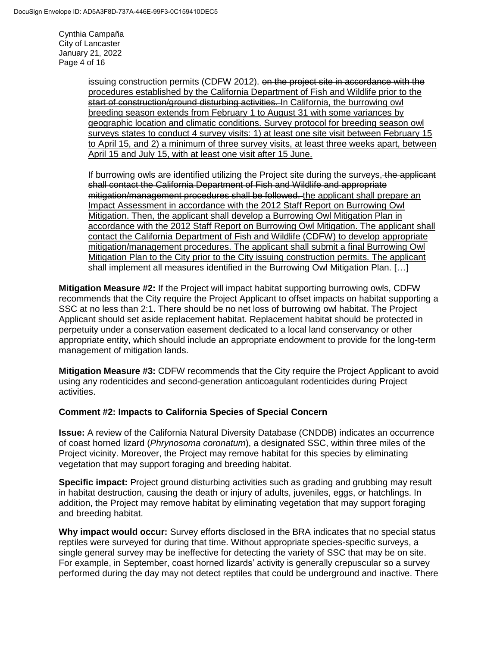Cynthia Campaña City of Lancaster January 21, 2022 Page 4 of 16

> issuing construction permits (CDFW 2012). on the project site in accordance with the procedures established by the California Department of Fish and Wildlife prior to the start of construction/ground disturbing activities. In California, the burrowing owl breeding season extends from February 1 to August 31 with some variances by geographic location and climatic conditions. Survey protocol for breeding season owl surveys states to conduct 4 survey visits: 1) at least one site visit between February 15 to April 15, and 2) a minimum of three survey visits, at least three weeks apart, between April 15 and July 15, with at least one visit after 15 June.

> If burrowing owls are identified utilizing the Project site during the surveys, the applicant shall contact the California Department of Fish and Wildlife and appropriate mitigation/management procedures shall be followed. the applicant shall prepare an Impact Assessment in accordance with the 2012 Staff Report on Burrowing Owl Mitigation. Then, the applicant shall develop a Burrowing Owl Mitigation Plan in accordance with the 2012 Staff Report on Burrowing Owl Mitigation. The applicant shall contact the California Department of Fish and Wildlife (CDFW) to develop appropriate mitigation/management procedures. The applicant shall submit a final Burrowing Owl Mitigation Plan to the City prior to the City issuing construction permits. The applicant shall implement all measures identified in the Burrowing Owl Mitigation Plan. […]

**Mitigation Measure #2:** If the Project will impact habitat supporting burrowing owls, CDFW recommends that the City require the Project Applicant to offset impacts on habitat supporting a SSC at no less than 2:1. There should be no net loss of burrowing owl habitat. The Project Applicant should set aside replacement habitat. Replacement habitat should be protected in perpetuity under a conservation easement dedicated to a local land conservancy or other appropriate entity, which should include an appropriate endowment to provide for the long-term management of mitigation lands.

**Mitigation Measure #3:** CDFW recommends that the City require the Project Applicant to avoid using any rodenticides and second-generation anticoagulant rodenticides during Project activities.

## **Comment #2: Impacts to California Species of Special Concern**

**Issue:** A review of the California Natural Diversity Database (CNDDB) indicates an occurrence of coast horned lizard (*Phrynosoma coronatum*), a designated SSC, within three miles of the Project vicinity. Moreover, the Project may remove habitat for this species by eliminating vegetation that may support foraging and breeding habitat.

**Specific impact:** Project ground disturbing activities such as grading and grubbing may result in habitat destruction, causing the death or injury of adults, juveniles, eggs, or hatchlings. In addition, the Project may remove habitat by eliminating vegetation that may support foraging and breeding habitat.

**Why impact would occur:** Survey efforts disclosed in the BRA indicates that no special status reptiles were surveyed for during that time. Without appropriate species-specific surveys, a single general survey may be ineffective for detecting the variety of SSC that may be on site. For example, in September, coast horned lizards' activity is generally crepuscular so a survey performed during the day may not detect reptiles that could be underground and inactive. There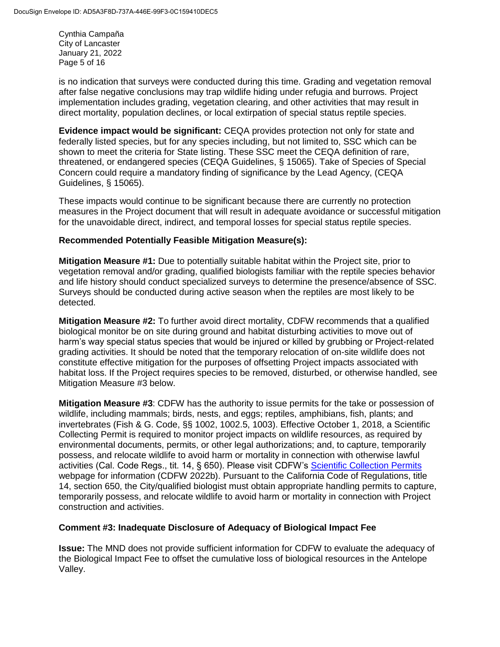Cynthia Campaña City of Lancaster January 21, 2022 Page 5 of 16

is no indication that surveys were conducted during this time. Grading and vegetation removal after false negative conclusions may trap wildlife hiding under refugia and burrows. Project implementation includes grading, vegetation clearing, and other activities that may result in direct mortality, population declines, or local extirpation of special status reptile species.

**Evidence impact would be significant:** CEQA provides protection not only for state and federally listed species, but for any species including, but not limited to, SSC which can be shown to meet the criteria for State listing. These SSC meet the CEQA definition of rare, threatened, or endangered species (CEQA Guidelines, § 15065). Take of Species of Special Concern could require a mandatory finding of significance by the Lead Agency, (CEQA Guidelines, § 15065).

These impacts would continue to be significant because there are currently no protection measures in the Project document that will result in adequate avoidance or successful mitigation for the unavoidable direct, indirect, and temporal losses for special status reptile species.

#### **Recommended Potentially Feasible Mitigation Measure(s):**

**Mitigation Measure #1:** Due to potentially suitable habitat within the Project site, prior to vegetation removal and/or grading, qualified biologists familiar with the reptile species behavior and life history should conduct specialized surveys to determine the presence/absence of SSC. Surveys should be conducted during active season when the reptiles are most likely to be detected.

**Mitigation Measure #2:** To further avoid direct mortality, CDFW recommends that a qualified biological monitor be on site during ground and habitat disturbing activities to move out of harm's way special status species that would be injured or killed by grubbing or Project-related grading activities. It should be noted that the temporary relocation of on-site wildlife does not constitute effective mitigation for the purposes of offsetting Project impacts associated with habitat loss. If the Project requires species to be removed, disturbed, or otherwise handled, see Mitigation Measure #3 below.

**Mitigation Measure #3**: CDFW has the authority to issue permits for the take or possession of wildlife, including mammals; birds, nests, and eggs; reptiles, amphibians, fish, plants; and invertebrates (Fish & G. Code, §§ 1002, 1002.5, 1003). Effective October 1, 2018, a Scientific Collecting Permit is required to monitor project impacts on wildlife resources, as required by environmental documents, permits, or other legal authorizations; and, to capture, temporarily possess, and relocate wildlife to avoid harm or mortality in connection with otherwise lawful activities (Cal. Code Regs., tit. 14, § 650). Please visit CDFW's [Scientific Collection Permits](https://wildlife.ca.gov/Licensing/Scientific-Collecting#53949678) webpage for information (CDFW 2022b). Pursuant to the California Code of Regulations, title 14, section 650, the City/qualified biologist must obtain appropriate handling permits to capture, temporarily possess, and relocate wildlife to avoid harm or mortality in connection with Project construction and activities.

## **Comment #3: Inadequate Disclosure of Adequacy of Biological Impact Fee**

**Issue:** The MND does not provide sufficient information for CDFW to evaluate the adequacy of the Biological Impact Fee to offset the cumulative loss of biological resources in the Antelope Valley.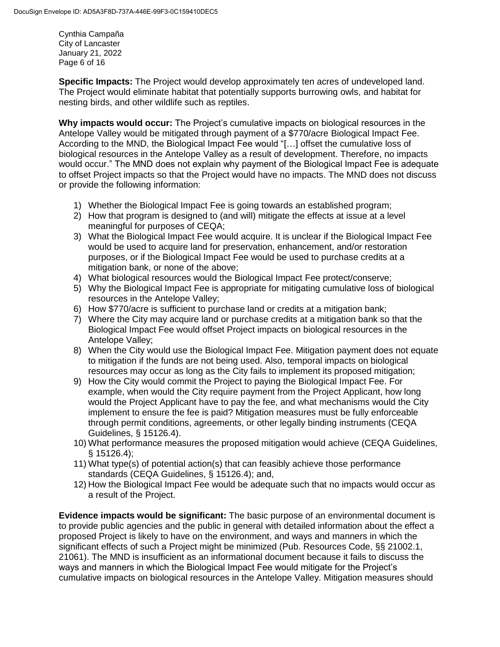Cynthia Campaña City of Lancaster January 21, 2022 Page 6 of 16

**Specific Impacts:** The Project would develop approximately ten acres of undeveloped land. The Project would eliminate habitat that potentially supports burrowing owls, and habitat for nesting birds, and other wildlife such as reptiles.

**Why impacts would occur:** The Project's cumulative impacts on biological resources in the Antelope Valley would be mitigated through payment of a \$770/acre Biological Impact Fee. According to the MND, the Biological Impact Fee would "[…] offset the cumulative loss of biological resources in the Antelope Valley as a result of development. Therefore, no impacts would occur." The MND does not explain why payment of the Biological Impact Fee is adequate to offset Project impacts so that the Project would have no impacts. The MND does not discuss or provide the following information:

- 1) Whether the Biological Impact Fee is going towards an established program;
- 2) How that program is designed to (and will) mitigate the effects at issue at a level meaningful for purposes of CEQA;
- 3) What the Biological Impact Fee would acquire. It is unclear if the Biological Impact Fee would be used to acquire land for preservation, enhancement, and/or restoration purposes, or if the Biological Impact Fee would be used to purchase credits at a mitigation bank, or none of the above;
- 4) What biological resources would the Biological Impact Fee protect/conserve;
- 5) Why the Biological Impact Fee is appropriate for mitigating cumulative loss of biological resources in the Antelope Valley;
- 6) How \$770/acre is sufficient to purchase land or credits at a mitigation bank;
- 7) Where the City may acquire land or purchase credits at a mitigation bank so that the Biological Impact Fee would offset Project impacts on biological resources in the Antelope Valley;
- 8) When the City would use the Biological Impact Fee. Mitigation payment does not equate to mitigation if the funds are not being used. Also, temporal impacts on biological resources may occur as long as the City fails to implement its proposed mitigation;
- 9) How the City would commit the Project to paying the Biological Impact Fee. For example, when would the City require payment from the Project Applicant, how long would the Project Applicant have to pay the fee, and what mechanisms would the City implement to ensure the fee is paid? Mitigation measures must be fully enforceable through permit conditions, agreements, or other legally binding instruments (CEQA Guidelines, § 15126.4).
- 10) What performance measures the proposed mitigation would achieve (CEQA Guidelines, § 15126.4);
- 11) What type(s) of potential action(s) that can feasibly achieve those performance standards (CEQA Guidelines, § 15126.4); and,
- 12) How the Biological Impact Fee would be adequate such that no impacts would occur as a result of the Project.

**Evidence impacts would be significant:** The basic purpose of an environmental document is to provide public agencies and the public in general with detailed information about the effect a proposed Project is likely to have on the environment, and ways and manners in which the significant effects of such a Project might be minimized (Pub. Resources Code, §§ 21002.1, 21061). The MND is insufficient as an informational document because it fails to discuss the ways and manners in which the Biological Impact Fee would mitigate for the Project's cumulative impacts on biological resources in the Antelope Valley. Mitigation measures should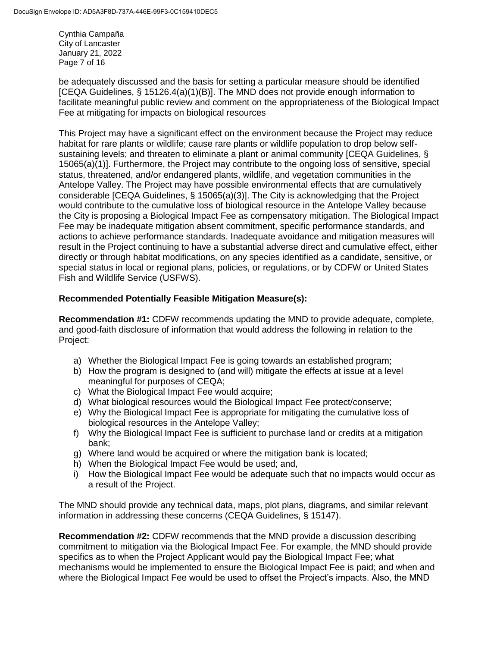Cynthia Campaña City of Lancaster January 21, 2022 Page 7 of 16

be adequately discussed and the basis for setting a particular measure should be identified [CEQA Guidelines, § 15126.4(a)(1)(B)]. The MND does not provide enough information to facilitate meaningful public review and comment on the appropriateness of the Biological Impact Fee at mitigating for impacts on biological resources

This Project may have a significant effect on the environment because the Project may reduce habitat for rare plants or wildlife; cause rare plants or wildlife population to drop below selfsustaining levels; and threaten to eliminate a plant or animal community [CEQA Guidelines, § 15065(a)(1)]. Furthermore, the Project may contribute to the ongoing loss of sensitive, special status, threatened, and/or endangered plants, wildlife, and vegetation communities in the Antelope Valley. The Project may have possible environmental effects that are cumulatively considerable [CEQA Guidelines, § 15065(a)(3)]. The City is acknowledging that the Project would contribute to the cumulative loss of biological resource in the Antelope Valley because the City is proposing a Biological Impact Fee as compensatory mitigation. The Biological Impact Fee may be inadequate mitigation absent commitment, specific performance standards, and actions to achieve performance standards. Inadequate avoidance and mitigation measures will result in the Project continuing to have a substantial adverse direct and cumulative effect, either directly or through habitat modifications, on any species identified as a candidate, sensitive, or special status in local or regional plans, policies, or regulations, or by CDFW or United States Fish and Wildlife Service (USFWS).

## **Recommended Potentially Feasible Mitigation Measure(s):**

**Recommendation #1:** CDFW recommends updating the MND to provide adequate, complete, and good-faith disclosure of information that would address the following in relation to the Project:

- a) Whether the Biological Impact Fee is going towards an established program;
- b) How the program is designed to (and will) mitigate the effects at issue at a level meaningful for purposes of CEQA;
- c) What the Biological Impact Fee would acquire;
- d) What biological resources would the Biological Impact Fee protect/conserve;
- e) Why the Biological Impact Fee is appropriate for mitigating the cumulative loss of biological resources in the Antelope Valley;
- f) Why the Biological Impact Fee is sufficient to purchase land or credits at a mitigation bank;
- g) Where land would be acquired or where the mitigation bank is located;
- h) When the Biological Impact Fee would be used; and,
- i) How the Biological Impact Fee would be adequate such that no impacts would occur as a result of the Project.

The MND should provide any technical data, maps, plot plans, diagrams, and similar relevant information in addressing these concerns (CEQA Guidelines, § 15147).

**Recommendation #2:** CDFW recommends that the MND provide a discussion describing commitment to mitigation via the Biological Impact Fee. For example, the MND should provide specifics as to when the Project Applicant would pay the Biological Impact Fee; what mechanisms would be implemented to ensure the Biological Impact Fee is paid; and when and where the Biological Impact Fee would be used to offset the Project's impacts. Also, the MND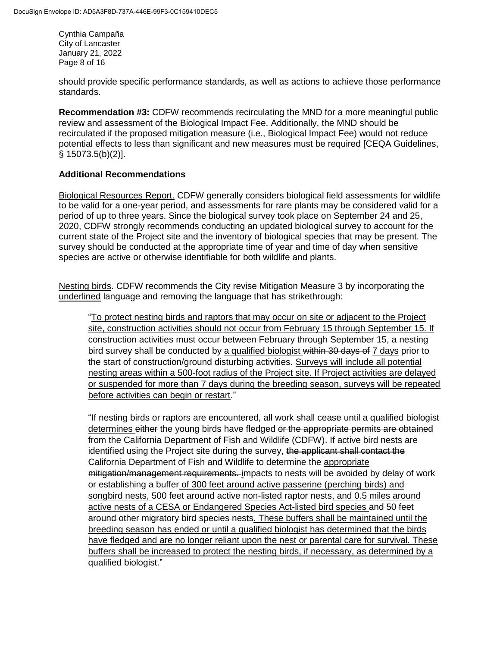Cynthia Campaña City of Lancaster January 21, 2022 Page 8 of 16

should provide specific performance standards, as well as actions to achieve those performance standards.

**Recommendation #3: CDFW recommends recirculating the MND for a more meaningful public** review and assessment of the Biological Impact Fee. Additionally, the MND should be recirculated if the proposed mitigation measure (i.e., Biological Impact Fee) would not reduce potential effects to less than significant and new measures must be required [CEQA Guidelines, § 15073.5(b)(2)].

## **Additional Recommendations**

Biological Resources Report. CDFW generally considers biological field assessments for wildlife to be valid for a one-year period, and assessments for rare plants may be considered valid for a period of up to three years. Since the biological survey took place on September 24 and 25, 2020, CDFW strongly recommends conducting an updated biological survey to account for the current state of the Project site and the inventory of biological species that may be present. The survey should be conducted at the appropriate time of year and time of day when sensitive species are active or otherwise identifiable for both wildlife and plants.

Nesting birds. CDFW recommends the City revise Mitigation Measure 3 by incorporating the underlined language and removing the language that has strikethrough:

"To protect nesting birds and raptors that may occur on site or adjacent to the Project site, construction activities should not occur from February 15 through September 15. If construction activities must occur between February through September 15, a nesting bird survey shall be conducted by a qualified biologist within 30 days of 7 days prior to the start of construction/ground disturbing activities. Surveys will include all potential nesting areas within a 500-foot radius of the Project site. If Project activities are delayed or suspended for more than 7 days during the breeding season, surveys will be repeated before activities can begin or restart."

"If nesting birds or raptors are encountered, all work shall cease until a qualified biologist determines either the young birds have fledged or the appropriate permits are obtained from the California Department of Fish and Wildlife (CDFW). If active bird nests are identified using the Project site during the survey, the applicant shall contact the California Department of Fish and Wildlife to determine the appropriate mitigation/management requirements. impacts to nests will be avoided by delay of work or establishing a buffer of 300 feet around active passerine (perching birds) and songbird nests, 500 feet around active non-listed raptor nests, and 0.5 miles around active nests of a CESA or Endangered Species Act-listed bird species and 50 feet around other migratory bird species nests. These buffers shall be maintained until the breeding season has ended or until a qualified biologist has determined that the birds have fledged and are no longer reliant upon the nest or parental care for survival. These buffers shall be increased to protect the nesting birds, if necessary, as determined by a qualified biologist."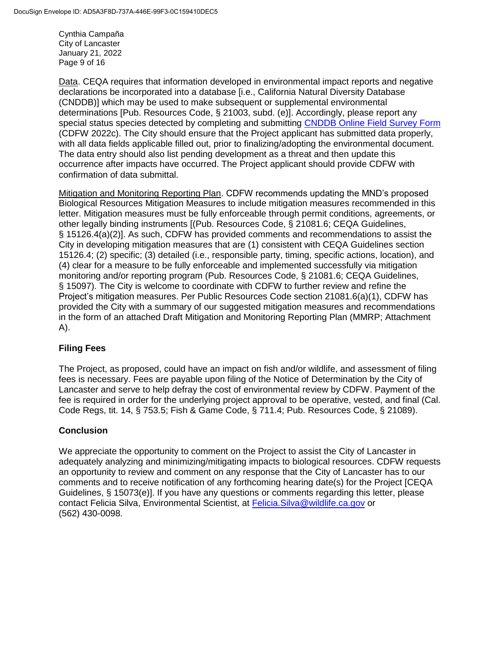Cynthia Campaña City of Lancaster January 21, 2022 Page 9 of 16

Data. CEQA requires that information developed in environmental impact reports and negative declarations be incorporated into a database [i.e., California Natural Diversity Database (CNDDB)] which may be used to make subsequent or supplemental environmental determinations [Pub. Resources Code, § 21003, subd. (e)]. Accordingly, please report any special status species detected by completing and submitting [CNDDB Online Field Survey Form](https://wildlife.ca.gov/Data/CNDDB/Submitting-Data) (CDFW 2022c). The City should ensure that the Project applicant has submitted data properly, with all data fields applicable filled out, prior to finalizing/adopting the environmental document. The data entry should also list pending development as a threat and then update this occurrence after impacts have occurred. The Project applicant should provide CDFW with confirmation of data submittal.

Mitigation and Monitoring Reporting Plan. CDFW recommends updating the MND's proposed Biological Resources Mitigation Measures to include mitigation measures recommended in this letter. Mitigation measures must be fully enforceable through permit conditions, agreements, or other legally binding instruments [(Pub. Resources Code, § 21081.6; CEQA Guidelines, § 15126.4(a)(2)]. As such, CDFW has provided comments and recommendations to assist the City in developing mitigation measures that are (1) consistent with CEQA Guidelines section 15126.4; (2) specific; (3) detailed (i.e., responsible party, timing, specific actions, location), and (4) clear for a measure to be fully enforceable and implemented successfully via mitigation monitoring and/or reporting program (Pub. Resources Code, § 21081.6; CEQA Guidelines, § 15097). The City is welcome to coordinate with CDFW to further review and refine the Project's mitigation measures. Per Public Resources Code section 21081.6(a)(1), CDFW has provided the City with a summary of our suggested mitigation measures and recommendations in the form of an attached Draft Mitigation and Monitoring Reporting Plan (MMRP; Attachment A).

# **Filing Fees**

The Project, as proposed, could have an impact on fish and/or wildlife, and assessment of filing fees is necessary. Fees are payable upon filing of the Notice of Determination by the City of Lancaster and serve to help defray the cost of environmental review by CDFW. Payment of the fee is required in order for the underlying project approval to be operative, vested, and final (Cal. Code Regs, tit. 14, § 753.5; Fish & Game Code, § 711.4; Pub. Resources Code, § 21089).

# **Conclusion**

We appreciate the opportunity to comment on the Project to assist the City of Lancaster in adequately analyzing and minimizing/mitigating impacts to biological resources. CDFW requests an opportunity to review and comment on any response that the City of Lancaster has to our comments and to receive notification of any forthcoming hearing date(s) for the Project [CEQA Guidelines, § 15073(e)]. If you have any questions or comments regarding this letter, please contact Felicia Silva, Environmental Scientist, at [Felicia.Silva@wildlife.ca.gov](mailto:Felicia.Silva@wildlife.ca.gov) or (562) 430-0098.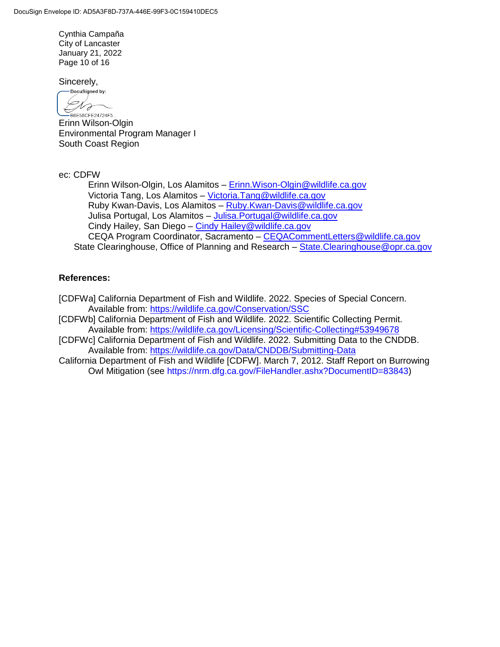Cynthia Campaña City of Lancaster January 21, 2022 Page 10 of 16

Sincerely,

DocuSigned by: Dro -<br>B6E58CFE24724F5...

Erinn Wilson-Olgin Environmental Program Manager I South Coast Region

ec: CDFW

Erinn Wilson-Olgin, Los Alamitos – [Erinn.Wison-Olgin@wildlife.ca.gov](mailto:Erinn.Wison-Olgin@wildlife.ca.gov) Victoria Tang, Los Alamitos – [Victoria.Tang@wildlife.ca.gov](mailto:Victoria.Tang@wildlife.ca.gov) Ruby Kwan-Davis, Los Alamitos – [Ruby.Kwan-Davis@wildlife.ca.gov](mailto:Ruby.Kwan-Davis@wildlife.ca.gov) Julisa Portugal, Los Alamitos – [Julisa.Portugal@wildlife.ca.gov](mailto:Julisa.Portugal@wildlife.ca.gov) Cindy Hailey, San Diego – [Cindy Hailey@wildlife.ca.gov](mailto:Cindy%20Hailey@wildlife.ca.gov) CEQA Program Coordinator, Sacramento – [CEQACommentLetters@wildlife.ca.gov](mailto:CEQACommentLetters@wildlife.ca.gov) State Clearinghouse, Office of Planning and Research – State. Clearinghouse @opr.ca.gov

## **References:**

[CDFWa] California Department of Fish and Wildlife. 2022. Species of Special Concern. Available from:<https://wildlife.ca.gov/Conservation/SSC>

[CDFWb] California Department of Fish and Wildlife. 2022. Scientific Collecting Permit. Available from:<https://wildlife.ca.gov/Licensing/Scientific-Collecting#53949678>

[CDFWc] California Department of Fish and Wildlife. 2022. Submitting Data to the CNDDB. Available from:<https://wildlife.ca.gov/Data/CNDDB/Submitting-Data>

California Department of Fish and Wildlife [CDFW]. March 7, 2012. Staff Report on Burrowing Owl Mitigation (see https://nrm.dfg.ca.gov/FileHandler.ashx?DocumentID=83843)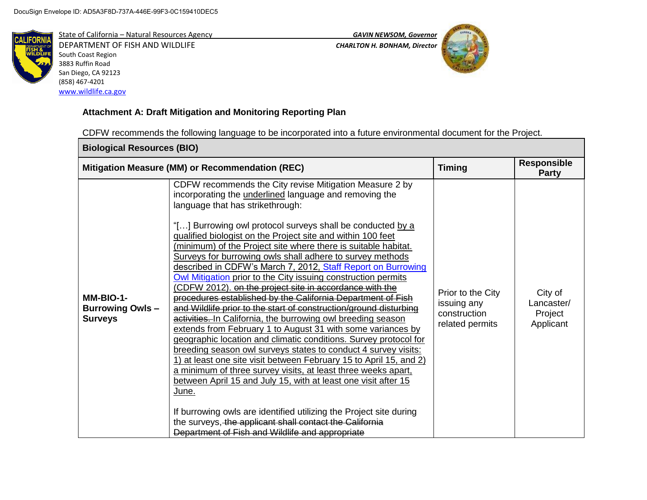

State of California – Natural Resources Agency *GAVIN NEWSOM, Governor* DEPARTMENT OF FISH AND WILDLIFE *CHARLTON H. BONHAM, Director*  South Coast Region 3883 Ruffin Road San Diego, CA 92123 (858) 467-4201 [www.wildlife.ca.gov](http://www.wildlife.ca.gov/)



# **Attachment A: Draft Mitigation and Monitoring Reporting Plan**

CDFW recommends the following language to be incorporated into a future environmental document for the Project.

| <b>Biological Resources (BIO)</b>                     |                                                                                                                                                                                                                                                                                                                                                                                                                                                                                                                                                                                                                                                                                                                                                                                                                                                                                                                                                                                                                                                                                                                                                                                                                                                                                                                                                                                                                                    |                                                                     |                                               |
|-------------------------------------------------------|------------------------------------------------------------------------------------------------------------------------------------------------------------------------------------------------------------------------------------------------------------------------------------------------------------------------------------------------------------------------------------------------------------------------------------------------------------------------------------------------------------------------------------------------------------------------------------------------------------------------------------------------------------------------------------------------------------------------------------------------------------------------------------------------------------------------------------------------------------------------------------------------------------------------------------------------------------------------------------------------------------------------------------------------------------------------------------------------------------------------------------------------------------------------------------------------------------------------------------------------------------------------------------------------------------------------------------------------------------------------------------------------------------------------------------|---------------------------------------------------------------------|-----------------------------------------------|
|                                                       | Mitigation Measure (MM) or Recommendation (REC)                                                                                                                                                                                                                                                                                                                                                                                                                                                                                                                                                                                                                                                                                                                                                                                                                                                                                                                                                                                                                                                                                                                                                                                                                                                                                                                                                                                    | <b>Timing</b>                                                       | <b>Responsible</b><br><b>Party</b>            |
| MM-BIO-1-<br><b>Burrowing Owls-</b><br><b>Surveys</b> | CDFW recommends the City revise Mitigation Measure 2 by<br>incorporating the <i>underlined</i> language and removing the<br>language that has strikethrough:<br>"[] Burrowing owl protocol surveys shall be conducted by a<br>qualified biologist on the Project site and within 100 feet<br>(minimum) of the Project site where there is suitable habitat.<br>Surveys for burrowing owls shall adhere to survey methods<br>described in CDFW's March 7, 2012, Staff Report on Burrowing<br>Owl Mitigation prior to the City issuing construction permits<br>CDFW 2012). on the project site in accordance with the<br>procedures established by the California Department of Fish<br>and Wildlife prior to the start of construction/ground disturbing<br>activities. In California, the burrowing owl breeding season<br>extends from February 1 to August 31 with some variances by<br>geographic location and climatic conditions. Survey protocol for<br>breeding season owl surveys states to conduct 4 survey visits:<br>1) at least one site visit between February 15 to April 15, and 2)<br>a minimum of three survey visits, at least three weeks apart,<br>between April 15 and July 15, with at least one visit after 15<br>June.<br>If burrowing owls are identified utilizing the Project site during<br>the surveys, the applicant shall contact the California<br>Department of Fish and Wildlife and appropriate | Prior to the City<br>issuing any<br>construction<br>related permits | City of<br>Lancaster/<br>Project<br>Applicant |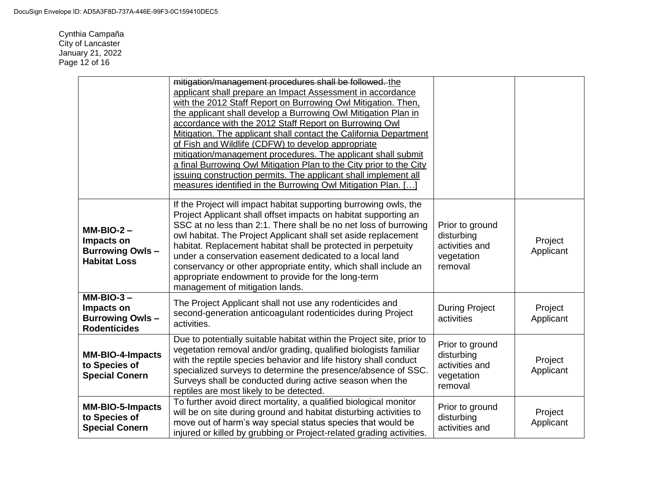Cynthia Campaña City of Lancaster January 21, 2022 Page 12 of 16

|                                                                             | mitigation/management procedures shall be followed. the<br>applicant shall prepare an Impact Assessment in accordance<br>with the 2012 Staff Report on Burrowing Owl Mitigation. Then,<br>the applicant shall develop a Burrowing Owl Mitigation Plan in<br>accordance with the 2012 Staff Report on Burrowing Owl<br>Mitigation. The applicant shall contact the California Department<br>of Fish and Wildlife (CDFW) to develop appropriate<br>mitigation/management procedures. The applicant shall submit<br>a final Burrowing Owl Mitigation Plan to the City prior to the City<br>issuing construction permits. The applicant shall implement all<br>measures identified in the Burrowing Owl Mitigation Plan. [] |                                                                          |                      |
|-----------------------------------------------------------------------------|-------------------------------------------------------------------------------------------------------------------------------------------------------------------------------------------------------------------------------------------------------------------------------------------------------------------------------------------------------------------------------------------------------------------------------------------------------------------------------------------------------------------------------------------------------------------------------------------------------------------------------------------------------------------------------------------------------------------------|--------------------------------------------------------------------------|----------------------|
| $MM-BIO-2 -$<br>Impacts on<br><b>Burrowing Owls-</b><br><b>Habitat Loss</b> | If the Project will impact habitat supporting burrowing owls, the<br>Project Applicant shall offset impacts on habitat supporting an<br>SSC at no less than 2:1. There shall be no net loss of burrowing<br>owl habitat. The Project Applicant shall set aside replacement<br>habitat. Replacement habitat shall be protected in perpetuity<br>under a conservation easement dedicated to a local land<br>conservancy or other appropriate entity, which shall include an<br>appropriate endowment to provide for the long-term<br>management of mitigation lands.                                                                                                                                                      | Prior to ground<br>disturbing<br>activities and<br>vegetation<br>removal | Project<br>Applicant |
| $MM-BIO-3-$<br>Impacts on<br><b>Burrowing Owls-</b><br><b>Rodenticides</b>  | The Project Applicant shall not use any rodenticides and<br>second-generation anticoagulant rodenticides during Project<br>activities.                                                                                                                                                                                                                                                                                                                                                                                                                                                                                                                                                                                  | <b>During Project</b><br>activities                                      | Project<br>Applicant |
| <b>MM-BIO-4-Impacts</b><br>to Species of<br><b>Special Conern</b>           | Due to potentially suitable habitat within the Project site, prior to<br>vegetation removal and/or grading, qualified biologists familiar<br>with the reptile species behavior and life history shall conduct<br>specialized surveys to determine the presence/absence of SSC.<br>Surveys shall be conducted during active season when the<br>reptiles are most likely to be detected.                                                                                                                                                                                                                                                                                                                                  | Prior to ground<br>disturbing<br>activities and<br>vegetation<br>removal | Project<br>Applicant |
| <b>MM-BIO-5-Impacts</b><br>to Species of<br><b>Special Conern</b>           | To further avoid direct mortality, a qualified biological monitor<br>will be on site during ground and habitat disturbing activities to<br>move out of harm's way special status species that would be<br>injured or killed by grubbing or Project-related grading activities.                                                                                                                                                                                                                                                                                                                                                                                                                                          | Prior to ground<br>disturbing<br>activities and                          | Project<br>Applicant |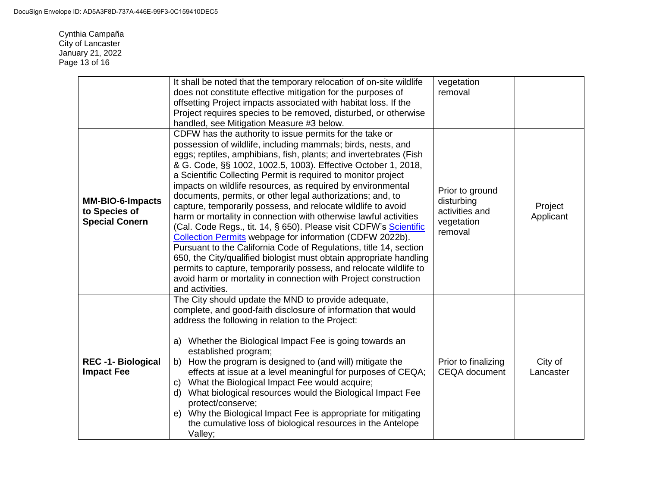Cynthia Campaña City of Lancaster January 21, 2022 Page 13 of 16

|                                                                   | It shall be noted that the temporary relocation of on-site wildlife<br>does not constitute effective mitigation for the purposes of<br>offsetting Project impacts associated with habitat loss. If the<br>Project requires species to be removed, disturbed, or otherwise<br>handled, see Mitigation Measure #3 below.                                                                                                                                                                                                                                                                                                                                                                                                                                                                                                                                                                                                                                                                                                                 | vegetation<br>removal                                                    |                      |
|-------------------------------------------------------------------|----------------------------------------------------------------------------------------------------------------------------------------------------------------------------------------------------------------------------------------------------------------------------------------------------------------------------------------------------------------------------------------------------------------------------------------------------------------------------------------------------------------------------------------------------------------------------------------------------------------------------------------------------------------------------------------------------------------------------------------------------------------------------------------------------------------------------------------------------------------------------------------------------------------------------------------------------------------------------------------------------------------------------------------|--------------------------------------------------------------------------|----------------------|
| <b>MM-BIO-6-Impacts</b><br>to Species of<br><b>Special Conern</b> | CDFW has the authority to issue permits for the take or<br>possession of wildlife, including mammals; birds, nests, and<br>eggs; reptiles, amphibians, fish, plants; and invertebrates (Fish<br>& G. Code, §§ 1002, 1002.5, 1003). Effective October 1, 2018,<br>a Scientific Collecting Permit is required to monitor project<br>impacts on wildlife resources, as required by environmental<br>documents, permits, or other legal authorizations; and, to<br>capture, temporarily possess, and relocate wildlife to avoid<br>harm or mortality in connection with otherwise lawful activities<br>(Cal. Code Regs., tit. 14, § 650). Please visit CDFW's Scientific<br>Collection Permits webpage for information (CDFW 2022b).<br>Pursuant to the California Code of Regulations, title 14, section<br>650, the City/qualified biologist must obtain appropriate handling<br>permits to capture, temporarily possess, and relocate wildlife to<br>avoid harm or mortality in connection with Project construction<br>and activities. | Prior to ground<br>disturbing<br>activities and<br>vegetation<br>removal | Project<br>Applicant |
| <b>REC-1-Biological</b><br><b>Impact Fee</b>                      | The City should update the MND to provide adequate,<br>complete, and good-faith disclosure of information that would<br>address the following in relation to the Project:<br>a) Whether the Biological Impact Fee is going towards an<br>established program;<br>How the program is designed to (and will) mitigate the<br>b)<br>effects at issue at a level meaningful for purposes of CEQA;<br>What the Biological Impact Fee would acquire;<br>C)<br>What biological resources would the Biological Impact Fee<br>d)<br>protect/conserve;<br>Why the Biological Impact Fee is appropriate for mitigating<br>e)<br>the cumulative loss of biological resources in the Antelope<br>Valley;                                                                                                                                                                                                                                                                                                                                            | Prior to finalizing<br><b>CEQA</b> document                              | City of<br>Lancaster |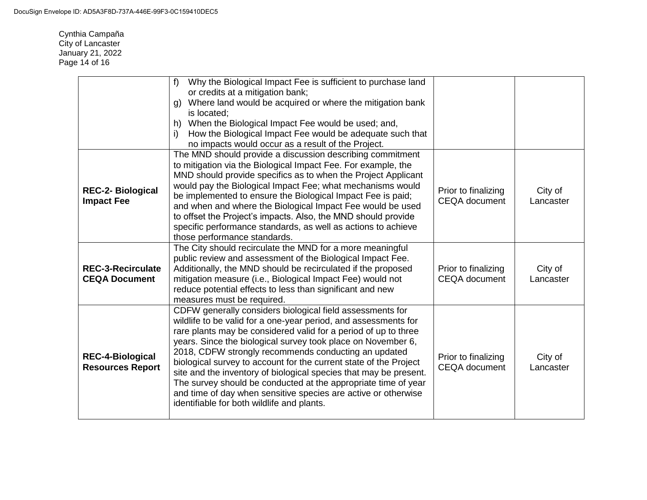Cynthia Campaña City of Lancaster January 21, 2022 Page 14 of 16

|                                                    | Why the Biological Impact Fee is sufficient to purchase land<br>f<br>or credits at a mitigation bank;<br>Where land would be acquired or where the mitigation bank<br>a)<br>is located:<br>When the Biological Impact Fee would be used; and,<br>h)<br>How the Biological Impact Fee would be adequate such that<br>i)<br>no impacts would occur as a result of the Project.                                                                                                                                                                                                                                                                        |                                             |                      |
|----------------------------------------------------|-----------------------------------------------------------------------------------------------------------------------------------------------------------------------------------------------------------------------------------------------------------------------------------------------------------------------------------------------------------------------------------------------------------------------------------------------------------------------------------------------------------------------------------------------------------------------------------------------------------------------------------------------------|---------------------------------------------|----------------------|
| <b>REC-2- Biological</b><br><b>Impact Fee</b>      | The MND should provide a discussion describing commitment<br>to mitigation via the Biological Impact Fee. For example, the<br>MND should provide specifics as to when the Project Applicant<br>would pay the Biological Impact Fee; what mechanisms would<br>be implemented to ensure the Biological Impact Fee is paid;<br>and when and where the Biological Impact Fee would be used<br>to offset the Project's impacts. Also, the MND should provide<br>specific performance standards, as well as actions to achieve<br>those performance standards.                                                                                            | Prior to finalizing<br><b>CEQA</b> document | City of<br>Lancaster |
| <b>REC-3-Recirculate</b><br><b>CEQA Document</b>   | The City should recirculate the MND for a more meaningful<br>public review and assessment of the Biological Impact Fee.<br>Additionally, the MND should be recirculated if the proposed<br>mitigation measure (i.e., Biological Impact Fee) would not<br>reduce potential effects to less than significant and new<br>measures must be required.                                                                                                                                                                                                                                                                                                    | Prior to finalizing<br><b>CEQA</b> document | City of<br>Lancaster |
| <b>REC-4-Biological</b><br><b>Resources Report</b> | CDFW generally considers biological field assessments for<br>wildlife to be valid for a one-year period, and assessments for<br>rare plants may be considered valid for a period of up to three<br>years. Since the biological survey took place on November 6,<br>2018, CDFW strongly recommends conducting an updated<br>biological survey to account for the current state of the Project<br>site and the inventory of biological species that may be present.<br>The survey should be conducted at the appropriate time of year<br>and time of day when sensitive species are active or otherwise<br>identifiable for both wildlife and plants. | Prior to finalizing<br><b>CEQA</b> document | City of<br>Lancaster |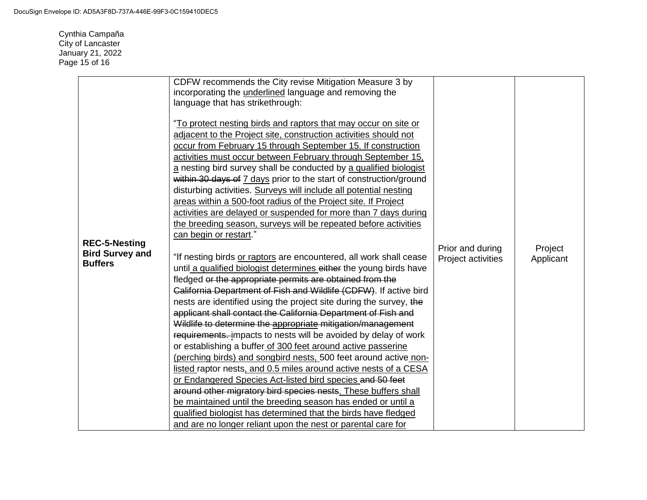Cynthia Campaña City of Lancaster January 21, 2022 Page 15 of 16

| adjacent to the Project site, construction activities should not<br>occur from February 15 through September 15. If construction<br>activities must occur between February through September 15,<br>a nesting bird survey shall be conducted by a qualified biologist<br>within 30 days of 7 days prior to the start of construction/ground<br>disturbing activities. Surveys will include all potential nesting<br>areas within a 500-foot radius of the Project site. If Project<br>activities are delayed or suspended for more than 7 days during<br>the breeding season, surveys will be repeated before activities<br>can begin or restart."<br><b>REC-5-Nesting</b><br>Prior and during<br><b>Bird Survey and</b><br>"If nesting birds or raptors are encountered, all work shall cease<br>Project activities<br><b>Buffers</b><br>until a qualified biologist determines either the young birds have<br>fledged or the appropriate permits are obtained from the<br>California Department of Fish and Wildlife (CDFW). If active bird<br>nests are identified using the project site during the survey, the<br>applicant shall contact the California Department of Fish and<br>Wildlife to determine the appropriate mitigation/management<br>requirements. impacts to nests will be avoided by delay of work<br>or establishing a buffer of 300 feet around active passerine<br>(perching birds) and songbird nests, 500 feet around active non-<br>listed raptor nests, and 0.5 miles around active nests of a CESA<br>or Endangered Species Act-listed bird species and 50 feet<br>around other migratory bird species nests. These buffers shall<br>be maintained until the breeding season has ended or until a<br>qualified biologist has determined that the birds have fledged<br>and are no longer reliant upon the nest or parental care for | Project<br>Applicant |
|-----------------------------------------------------------------------------------------------------------------------------------------------------------------------------------------------------------------------------------------------------------------------------------------------------------------------------------------------------------------------------------------------------------------------------------------------------------------------------------------------------------------------------------------------------------------------------------------------------------------------------------------------------------------------------------------------------------------------------------------------------------------------------------------------------------------------------------------------------------------------------------------------------------------------------------------------------------------------------------------------------------------------------------------------------------------------------------------------------------------------------------------------------------------------------------------------------------------------------------------------------------------------------------------------------------------------------------------------------------------------------------------------------------------------------------------------------------------------------------------------------------------------------------------------------------------------------------------------------------------------------------------------------------------------------------------------------------------------------------------------------------------------------------------------------------------------------------------------------------------|----------------------|
|-----------------------------------------------------------------------------------------------------------------------------------------------------------------------------------------------------------------------------------------------------------------------------------------------------------------------------------------------------------------------------------------------------------------------------------------------------------------------------------------------------------------------------------------------------------------------------------------------------------------------------------------------------------------------------------------------------------------------------------------------------------------------------------------------------------------------------------------------------------------------------------------------------------------------------------------------------------------------------------------------------------------------------------------------------------------------------------------------------------------------------------------------------------------------------------------------------------------------------------------------------------------------------------------------------------------------------------------------------------------------------------------------------------------------------------------------------------------------------------------------------------------------------------------------------------------------------------------------------------------------------------------------------------------------------------------------------------------------------------------------------------------------------------------------------------------------------------------------------------------|----------------------|